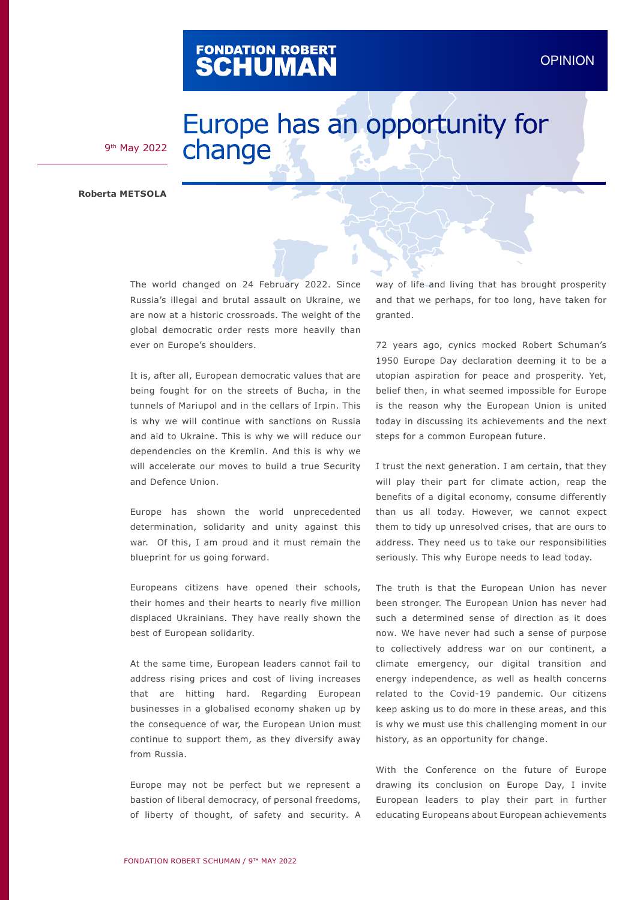## FONDATION ROBERT<br>**SCHUMAN**

## Europe has an opportunity for change

9th May 2022

**Roberta METSOLA**

The world changed on 24 February 2022. Since Russia's illegal and brutal assault on Ukraine, we are now at a historic crossroads. The weight of the global democratic order rests more heavily than ever on Europe's shoulders.

It is, after all, European democratic values that are being fought for on the streets of Bucha, in the tunnels of Mariupol and in the cellars of Irpin. This is why we will continue with sanctions on Russia and aid to Ukraine. This is why we will reduce our dependencies on the Kremlin. And this is why we will accelerate our moves to build a true Security and Defence Union.

Europe has shown the world unprecedented determination, solidarity and unity against this war. Of this, I am proud and it must remain the blueprint for us going forward.

Europeans citizens have opened their schools, their homes and their hearts to nearly five million displaced Ukrainians. They have really shown the best of European solidarity.

At the same time, European leaders cannot fail to address rising prices and cost of living increases that are hitting hard. Regarding European businesses in a globalised economy shaken up by the consequence of war, the European Union must continue to support them, as they diversify away from Russia.

Europe may not be perfect but we represent a bastion of liberal democracy, of personal freedoms, of liberty of thought, of safety and security. A way of life and living that has brought prosperity and that we perhaps, for too long, have taken for granted.

72 years ago, cynics mocked Robert Schuman's 1950 Europe Day declaration deeming it to be a utopian aspiration for peace and prosperity. Yet, belief then, in what seemed impossible for Europe is the reason why the European Union is united today in discussing its achievements and the next steps for a common European future.

I trust the next generation. I am certain, that they will play their part for climate action, reap the benefits of a digital economy, consume differently than us all today. However, we cannot expect them to tidy up unresolved crises, that are ours to address. They need us to take our responsibilities seriously. This why Europe needs to lead today.

The truth is that the European Union has never been stronger. The European Union has never had such a determined sense of direction as it does now. We have never had such a sense of purpose to collectively address war on our continent, a climate emergency, our digital transition and energy independence, as well as health concerns related to the Covid-19 pandemic. Our citizens keep asking us to do more in these areas, and this is why we must use this challenging moment in our history, as an opportunity for change.

With the Conference on the future of Europe drawing its conclusion on Europe Day, I invite European leaders to play their part in further educating Europeans about European achievements